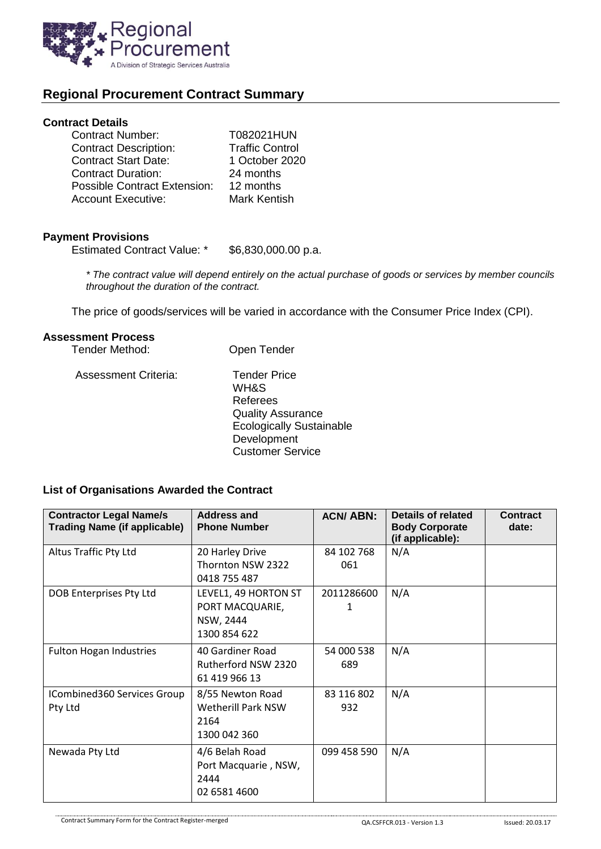

# **Regional Procurement Contract Summary**

#### **Contract Details**

| 1 October 2020         |
|------------------------|
|                        |
|                        |
|                        |
| <b>Traffic Control</b> |

#### **Payment Provisions**

Estimated Contract Value: \* \$6,830,000.00 p.a.

*\* The contract value will depend entirely on the actual purchase of goods or services by member councils throughout the duration of the contract.*

The price of goods/services will be varied in accordance with the Consumer Price Index (CPI).

Customer Service

## **Assessment Process**

| Tender Method:              | Open Tender                                                                                                           |
|-----------------------------|-----------------------------------------------------------------------------------------------------------------------|
| <b>Assessment Criteria:</b> | <b>Tender Price</b><br>WH&S<br>Referees<br><b>Quality Assurance</b><br><b>Ecologically Sustainable</b><br>Development |

## **List of Organisations Awarded the Contract**

| <b>Contractor Legal Name/s</b><br><b>Trading Name (if applicable)</b> | <b>Address and</b><br><b>Phone Number</b>                            | <b>ACN/ABN:</b>   | Details of related<br><b>Body Corporate</b><br>(if applicable): | <b>Contract</b><br>date: |
|-----------------------------------------------------------------------|----------------------------------------------------------------------|-------------------|-----------------------------------------------------------------|--------------------------|
| Altus Traffic Pty Ltd                                                 | 20 Harley Drive<br>Thornton NSW 2322<br>0418 755 487                 | 84 102 768<br>061 | N/A                                                             |                          |
| DOB Enterprises Pty Ltd                                               | LEVEL1, 49 HORTON ST<br>PORT MACQUARIE,<br>NSW, 2444<br>1300 854 622 | 2011286600<br>1   | N/A                                                             |                          |
| <b>Fulton Hogan Industries</b>                                        | 40 Gardiner Road<br>Rutherford NSW 2320<br>61 419 966 13             | 54 000 538<br>689 | N/A                                                             |                          |
| ICombined360 Services Group<br>Pty Ltd                                | 8/55 Newton Road<br>Wetherill Park NSW<br>2164<br>1300 042 360       | 83 116 802<br>932 | N/A                                                             |                          |
| Newada Pty Ltd                                                        | 4/6 Belah Road<br>Port Macquarie, NSW,<br>2444<br>02 6581 4600       | 099 458 590       | N/A                                                             |                          |